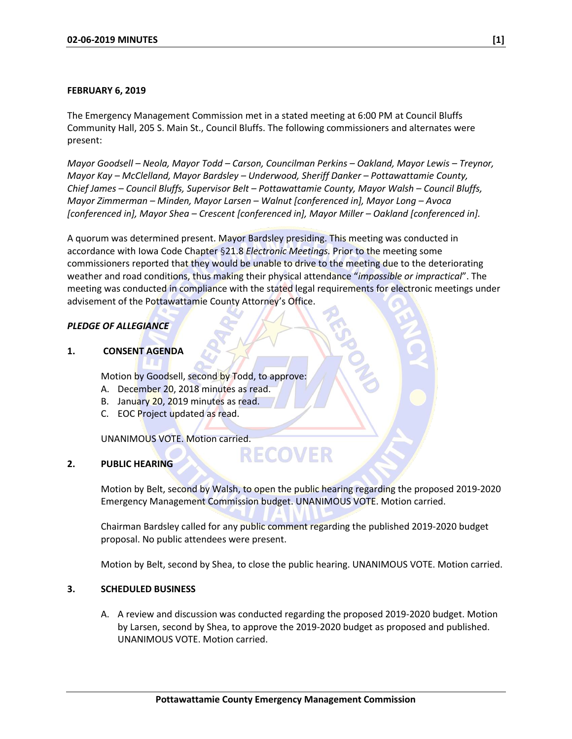#### **FEBRUARY 6, 2019**

The Emergency Management Commission met in a stated meeting at 6:00 PM at Council Bluffs Community Hall, 205 S. Main St., Council Bluffs. The following commissioners and alternates were present:

*Mayor Goodsell – Neola, Mayor Todd – Carson, Councilman Perkins – Oakland, Mayor Lewis – Treynor, Mayor Kay – McClelland, Mayor Bardsley – Underwood, Sheriff Danker – Pottawattamie County, Chief James – Council Bluffs, Supervisor Belt – Pottawattamie County, Mayor Walsh – Council Bluffs, Mayor Zimmerman – Minden, Mayor Larsen – Walnut [conferenced in], Mayor Long – Avoca [conferenced in], Mayor Shea – Crescent [conferenced in], Mayor Miller – Oakland [conferenced in].*

A quorum was determined present. Mayor Bardsley presiding. This meeting was conducted in accordance with Iowa Code Chapter §21.8 *Electronic Meetings.* Prior to the meeting some commissioners reported that they would be unable to drive to the meeting due to the deteriorating weather and road conditions, thus making their physical attendance "*impossible or impractical*". The meeting was conducted in compliance with the stated legal requirements for electronic meetings under advisement of the Pottawattamie County Attorney's Office.

# *PLEDGE OF ALLEGIANCE*

**1. CONSENT AGENDA**

Motion by Goodsell, second by Todd, to approve:

- A. December 20, 2018 minutes as read.
- B. January 20, 2019 minutes as read.
- C. EOC Project updated as read.

UNANIMOUS VOTE. Motion carried.

# **2. PUBLIC HEARING**

Motion by Belt, second by Walsh, to open the public hearing regarding the proposed 2019-2020 Emergency Management Commission budget. UNANIMOUS VOTE. Motion carried.

**RECOVER** 

Chairman Bardsley called for any public comment regarding the published 2019-2020 budget proposal. No public attendees were present.

Motion by Belt, second by Shea, to close the public hearing. UNANIMOUS VOTE. Motion carried.

#### **3. SCHEDULED BUSINESS**

A. A review and discussion was conducted regarding the proposed 2019-2020 budget. Motion by Larsen, second by Shea, to approve the 2019-2020 budget as proposed and published. UNANIMOUS VOTE. Motion carried.